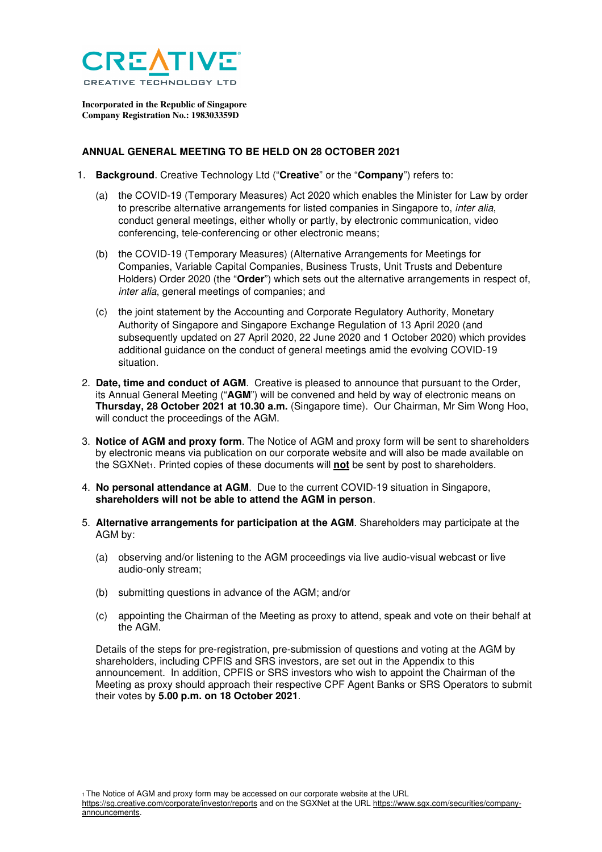

**Incorporated in the Republic of Singapore Company Registration No.: 198303359D** 

## **ANNUAL GENERAL MEETING TO BE HELD ON 28 OCTOBER 2021**

- 1. **Background**. Creative Technology Ltd ("**Creative**" or the "**Company**") refers to:
	- (a) the COVID-19 (Temporary Measures) Act 2020 which enables the Minister for Law by order to prescribe alternative arrangements for listed companies in Singapore to, inter alia, conduct general meetings, either wholly or partly, by electronic communication, video conferencing, tele-conferencing or other electronic means;
	- (b) the COVID-19 (Temporary Measures) (Alternative Arrangements for Meetings for Companies, Variable Capital Companies, Business Trusts, Unit Trusts and Debenture Holders) Order 2020 (the "**Order**") which sets out the alternative arrangements in respect of, inter alia, general meetings of companies; and
	- (c) the joint statement by the Accounting and Corporate Regulatory Authority, Monetary Authority of Singapore and Singapore Exchange Regulation of 13 April 2020 (and subsequently updated on 27 April 2020, 22 June 2020 and 1 October 2020) which provides additional guidance on the conduct of general meetings amid the evolving COVID-19 situation.
- 2. **Date, time and conduct of AGM**. Creative is pleased to announce that pursuant to the Order, its Annual General Meeting ("**AGM**") will be convened and held by way of electronic means on **Thursday, 28 October 2021 at 10.30 a.m.** (Singapore time). Our Chairman, Mr Sim Wong Hoo, will conduct the proceedings of the AGM.
- 3. **Notice of AGM and proxy form**. The Notice of AGM and proxy form will be sent to shareholders by electronic means via publication on our corporate website and will also be made available on the SGXNet1. Printed copies of these documents will **not** be sent by post to shareholders.
- 4. **No personal attendance at AGM**. Due to the current COVID-19 situation in Singapore, **shareholders will not be able to attend the AGM in person**.
- 5. **Alternative arrangements for participation at the AGM**. Shareholders may participate at the AGM by:
	- (a) observing and/or listening to the AGM proceedings via live audio-visual webcast or live audio-only stream;
	- (b) submitting questions in advance of the AGM; and/or
	- (c) appointing the Chairman of the Meeting as proxy to attend, speak and vote on their behalf at the AGM.

Details of the steps for pre-registration, pre-submission of questions and voting at the AGM by shareholders, including CPFIS and SRS investors, are set out in the Appendix to this announcement. In addition, CPFIS or SRS investors who wish to appoint the Chairman of the Meeting as proxy should approach their respective CPF Agent Banks or SRS Operators to submit their votes by **5.00 p.m. on 18 October 2021**.

1 The Notice of AGM and proxy form may be accessed on our corporate website at the URL

https://sg.creative.com/corporate/investor/reports and on the SGXNet at the URL https://www.sgx.com/securities/companyannouncements.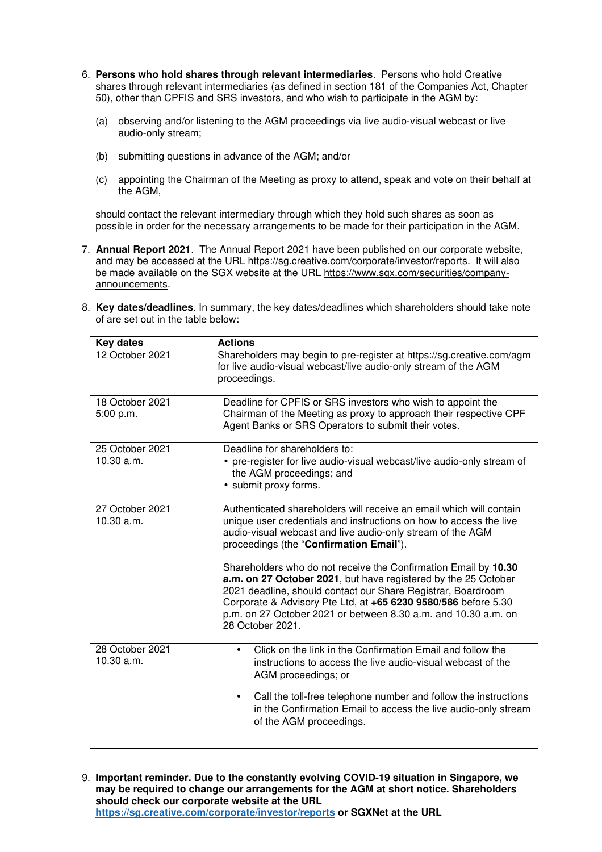- 6. **Persons who hold shares through relevant intermediaries**. Persons who hold Creative shares through relevant intermediaries (as defined in section 181 of the Companies Act, Chapter 50), other than CPFIS and SRS investors, and who wish to participate in the AGM by:
	- (a) observing and/or listening to the AGM proceedings via live audio-visual webcast or live audio-only stream;
	- (b) submitting questions in advance of the AGM; and/or
	- (c) appointing the Chairman of the Meeting as proxy to attend, speak and vote on their behalf at the AGM,

should contact the relevant intermediary through which they hold such shares as soon as possible in order for the necessary arrangements to be made for their participation in the AGM.

7. **Annual Report 2021**. The Annual Report 2021 have been published on our corporate website, and may be accessed at the URL https://sg.creative.com/corporate/investor/reports. It will also be made available on the SGX website at the URL https://www.sgx.com/securities/companyannouncements.

| 8. Key dates/deadlines. In summary, the key dates/deadlines which shareholders should take note |
|-------------------------------------------------------------------------------------------------|
| of are set out in the table below:                                                              |

| <b>Key dates</b>              | <b>Actions</b>                                                                                                                                                                                                                                                                                                                                            |
|-------------------------------|-----------------------------------------------------------------------------------------------------------------------------------------------------------------------------------------------------------------------------------------------------------------------------------------------------------------------------------------------------------|
| 12 October 2021               | Shareholders may begin to pre-register at https://sg.creative.com/agm<br>for live audio-visual webcast/live audio-only stream of the AGM<br>proceedings.                                                                                                                                                                                                  |
| 18 October 2021<br>5:00 p.m.  | Deadline for CPFIS or SRS investors who wish to appoint the<br>Chairman of the Meeting as proxy to approach their respective CPF<br>Agent Banks or SRS Operators to submit their votes.                                                                                                                                                                   |
| 25 October 2021<br>10.30 a.m. | Deadline for shareholders to:<br>• pre-register for live audio-visual webcast/live audio-only stream of<br>the AGM proceedings; and<br>• submit proxy forms.                                                                                                                                                                                              |
| 27 October 2021<br>10.30 a.m. | Authenticated shareholders will receive an email which will contain<br>unique user credentials and instructions on how to access the live<br>audio-visual webcast and live audio-only stream of the AGM<br>proceedings (the "Confirmation Email").                                                                                                        |
|                               | Shareholders who do not receive the Confirmation Email by 10.30<br>a.m. on 27 October 2021, but have registered by the 25 October<br>2021 deadline, should contact our Share Registrar, Boardroom<br>Corporate & Advisory Pte Ltd, at +65 6230 9580/586 before 5.30<br>p.m. on 27 October 2021 or between 8.30 a.m. and 10.30 a.m. on<br>28 October 2021. |
| 28 October 2021<br>10.30 a.m. | Click on the link in the Confirmation Email and follow the<br>instructions to access the live audio-visual webcast of the<br>AGM proceedings; or                                                                                                                                                                                                          |
|                               | Call the toll-free telephone number and follow the instructions<br>$\bullet$<br>in the Confirmation Email to access the live audio-only stream<br>of the AGM proceedings.                                                                                                                                                                                 |

9. **Important reminder. Due to the constantly evolving COVID-19 situation in Singapore, we may be required to change our arrangements for the AGM at short notice. Shareholders should check our corporate website at the URL https://sg.creative.com/corporate/investor/reports or SGXNet at the URL**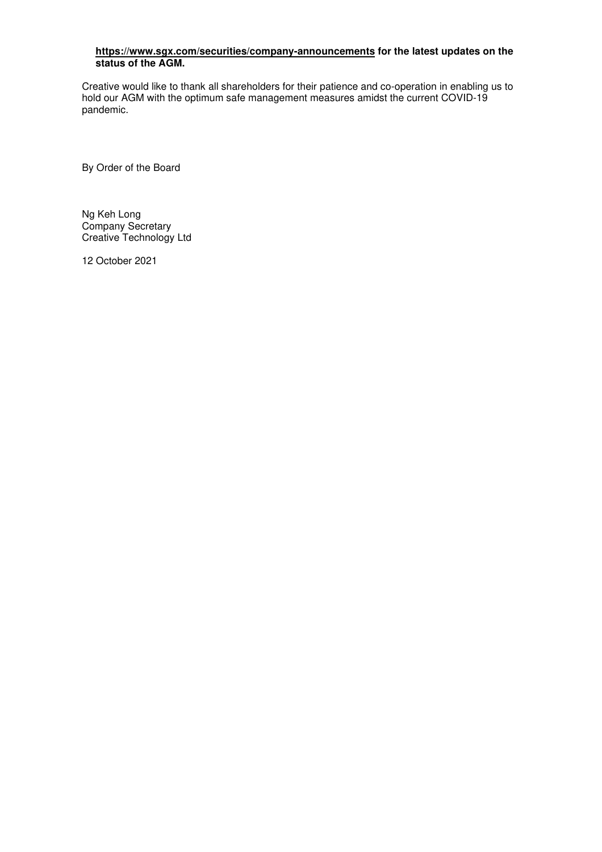## **https://www.sgx.com/securities/company-announcements for the latest updates on the status of the AGM.**

Creative would like to thank all shareholders for their patience and co-operation in enabling us to hold our AGM with the optimum safe management measures amidst the current COVID-19 pandemic.

By Order of the Board

Ng Keh Long Company Secretary Creative Technology Ltd

12 October 2021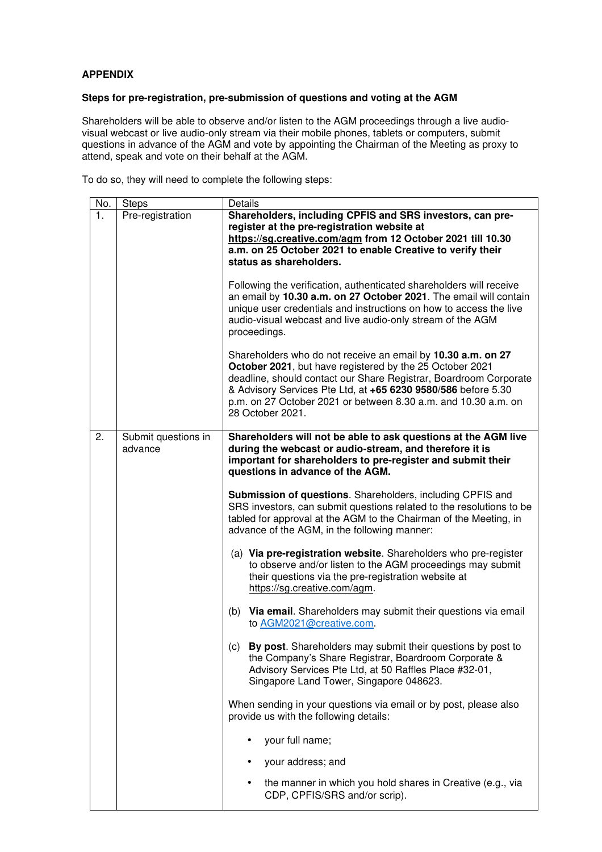## **APPENDIX**

## **Steps for pre-registration, pre-submission of questions and voting at the AGM**

Shareholders will be able to observe and/or listen to the AGM proceedings through a live audiovisual webcast or live audio-only stream via their mobile phones, tablets or computers, submit questions in advance of the AGM and vote by appointing the Chairman of the Meeting as proxy to attend, speak and vote on their behalf at the AGM.

To do so, they will need to complete the following steps:

| No. | <b>Steps</b>                   | Details                                                                                                                                                                                                                                                                                                                                              |
|-----|--------------------------------|------------------------------------------------------------------------------------------------------------------------------------------------------------------------------------------------------------------------------------------------------------------------------------------------------------------------------------------------------|
| 1.  | Pre-registration               | Shareholders, including CPFIS and SRS investors, can pre-<br>register at the pre-registration website at<br>https://sg.creative.com/agm from 12 October 2021 till 10.30<br>a.m. on 25 October 2021 to enable Creative to verify their<br>status as shareholders.                                                                                     |
|     |                                | Following the verification, authenticated shareholders will receive<br>an email by 10.30 a.m. on 27 October 2021. The email will contain<br>unique user credentials and instructions on how to access the live<br>audio-visual webcast and live audio-only stream of the AGM<br>proceedings.                                                         |
|     |                                | Shareholders who do not receive an email by 10.30 a.m. on 27<br>October 2021, but have registered by the 25 October 2021<br>deadline, should contact our Share Registrar, Boardroom Corporate<br>& Advisory Services Pte Ltd, at +65 6230 9580/586 before 5.30<br>p.m. on 27 October 2021 or between 8.30 a.m. and 10.30 a.m. on<br>28 October 2021. |
| 2.  | Submit questions in<br>advance | Shareholders will not be able to ask questions at the AGM live<br>during the webcast or audio-stream, and therefore it is<br>important for shareholders to pre-register and submit their<br>questions in advance of the AGM.                                                                                                                         |
|     |                                | Submission of questions. Shareholders, including CPFIS and<br>SRS investors, can submit questions related to the resolutions to be<br>tabled for approval at the AGM to the Chairman of the Meeting, in<br>advance of the AGM, in the following manner:                                                                                              |
|     |                                | (a) Via pre-registration website. Shareholders who pre-register<br>to observe and/or listen to the AGM proceedings may submit<br>their questions via the pre-registration website at<br>https://sg.creative.com/agm.                                                                                                                                 |
|     |                                | (b) Via email. Shareholders may submit their questions via email<br>to AGM2021@creative.com.                                                                                                                                                                                                                                                         |
|     |                                | By post. Shareholders may submit their questions by post to<br>(c)<br>the Company's Share Registrar, Boardroom Corporate &<br>Advisory Services Pte Ltd, at 50 Raffles Place #32-01,<br>Singapore Land Tower, Singapore 048623.                                                                                                                      |
|     |                                | When sending in your questions via email or by post, please also<br>provide us with the following details:                                                                                                                                                                                                                                           |
|     |                                | your full name;                                                                                                                                                                                                                                                                                                                                      |
|     |                                | your address; and                                                                                                                                                                                                                                                                                                                                    |
|     |                                | the manner in which you hold shares in Creative (e.g., via<br>CDP, CPFIS/SRS and/or scrip).                                                                                                                                                                                                                                                          |